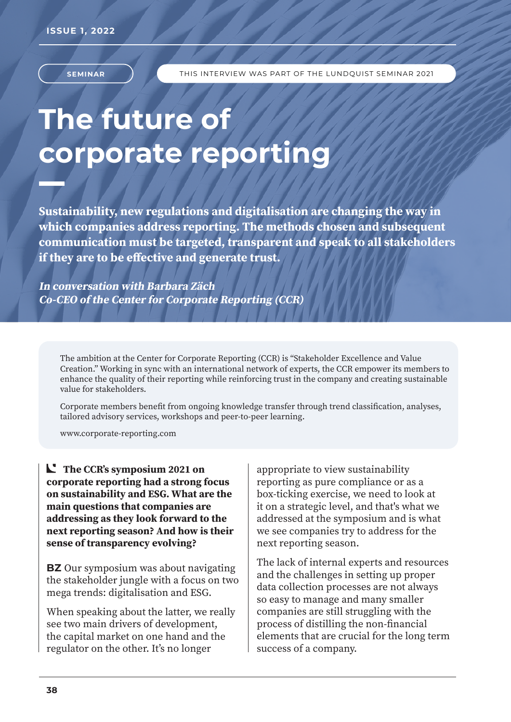

# **The future of corporate reporting**

**Sustainability, new regulations and digitalisation are changing the way in which companies address reporting. The methods chosen and subsequent communication must be targeted, transparent and speak to all stakeholders if they are to be effective and generate trust.** 

**In conversation with Barbara Zäch Co-CEO of the Center for Corporate Reporting (CCR)** 

The ambition at the Center for Corporate Reporting (CCR) is "Stakeholder Excellence and Value Creation." Working in sync with an international network of experts, the CCR empower its members to enhance the quality of their reporting while reinforcing trust in the company and creating sustainable value for stakeholders.

Corporate members benefit from ongoing knowledge transfer through trend classification, analyses, tailored advisory services, workshops and peer-to-peer learning.

www.corporate-reporting.com

**The CCR's symposium 2021 on corporate reporting had a strong focus on sustainability and ESG. What are the main questions that companies are addressing as they look forward to the next reporting season? And how is their sense of transparency evolving?**

**BZ** Our symposium was about navigating the stakeholder jungle with a focus on two mega trends: digitalisation and ESG.

When speaking about the latter, we really see two main drivers of development, the capital market on one hand and the regulator on the other. It's no longer

appropriate to view sustainability reporting as pure compliance or as a box-ticking exercise, we need to look at it on a strategic level, and that's what we addressed at the symposium and is what we see companies try to address for the next reporting season.

The lack of internal experts and resources and the challenges in setting up proper data collection processes are not always so easy to manage and many smaller companies are still struggling with the process of distilling the non-financial elements that are crucial for the long term success of a company.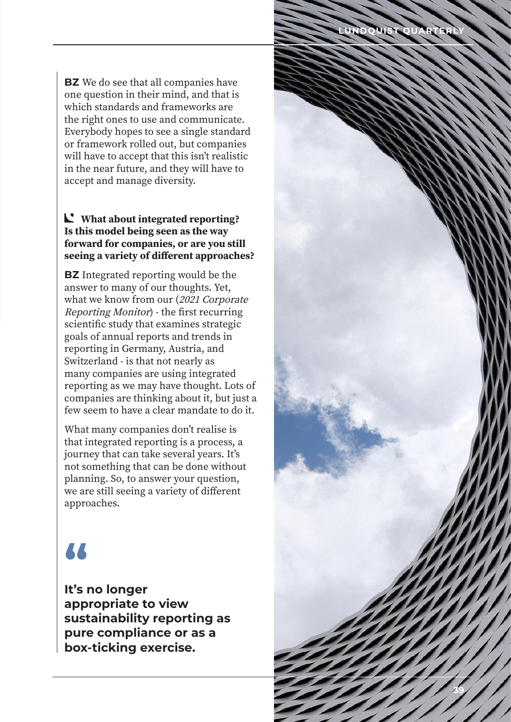**BZ** We do see that all companies have one question in their mind, and that is which standards and frameworks are the right ones to use and communicate. Everybody hopes to see a single standard or framework rolled out, but companies will have to accept that this isn't realistic in the near future, and they will have to accept and manage diversity.

#### **What about integrated reporting? Is this model being seen as the way forward for companies, or are you still seeing a variety of different approaches?**

**BZ** Integrated reporting would be the answer to many of our thoughts. Yet, what we know from our (2021 Corporate Reporting Monitor) - the first recurring scientific study that examines strategic goals of annual reports and trends in reporting in Germany, Austria, and Switzerland - is that not nearly as many companies are using integrated reporting as we may have thought. Lots of companies are thinking about it, but just a few seem to have a clear mandate to do it.

What many companies don't realise is that integrated reporting is a process, a journey that can take several years. It's not something that can be done without planning. So, to answer your question, we are still seeing a variety of different approaches.

### **"**

**It's no longer appropriate to view sustainability reporting as pure compliance or as a box-ticking exercise.**